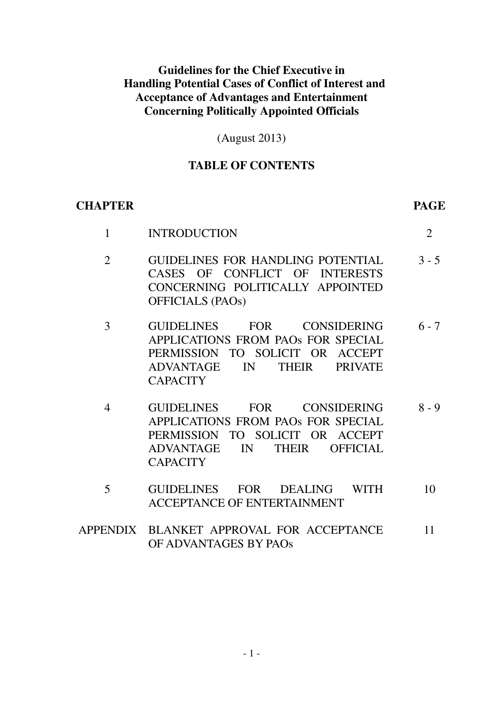## **Guidelines for the Chief Executive in Handling Potential Cases of Conflict of Interest and Acceptance of Advantages and Entertainment Concerning Politically Appointed Officials**

(August 2013)

## **TABLE OF CONTENTS**

## **CHAPTER PAGE**

| <b>INTRODUCTION</b>                                                                                                                                                                |         |
|------------------------------------------------------------------------------------------------------------------------------------------------------------------------------------|---------|
| GUIDELINES FOR HANDLING POTENTIAL<br>CASES OF CONFLICT OF INTERESTS<br>CONCERNING POLITICALLY APPOINTED<br><b>OFFICIALS (PAOs)</b>                                                 | $3 - 5$ |
| <b>GUIDELINES</b><br>FOR CONSIDERING<br>APPLICATIONS FROM PAOS FOR SPECIAL<br>PERMISSION TO SOLICIT OR ACCEPT<br>ADVANTAGE IN<br><b>THEIR</b><br><b>PRIVATE</b><br><b>CAPACITY</b> | $6 - 7$ |

- 4 GUIDELINES FOR CONSIDERING APPLICATIONS FROM PAOs FOR SPECIAL PERMISSION TO SOLICIT OR ACCEPT ADVANTAGE IN THEIR OFFICIAL **CAPACITY** 8 - 9
- 5 GUIDELINES FOR DEALING WITH ACCEPTANCE OF ENTERTAINMENT 10
- APPENDIX BLANKET APPROVAL FOR ACCEPTANCE OF ADVANTAGES BY PAOs 11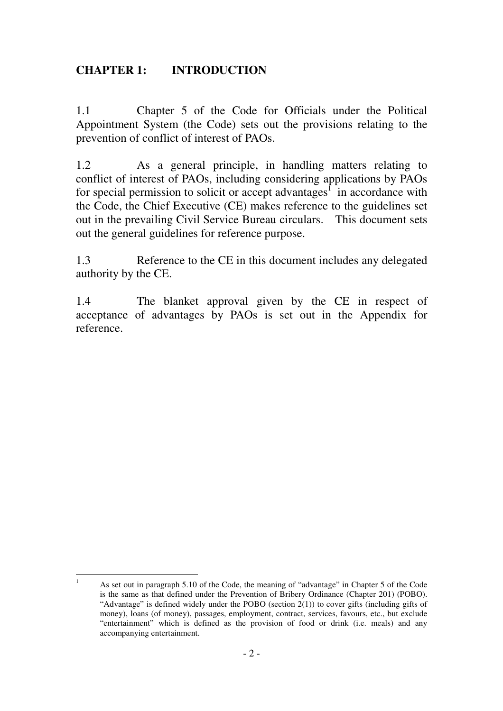## **CHAPTER 1: INTRODUCTION**

1.1 Chapter 5 of the Code for Officials under the Political Appointment System (the Code) sets out the provisions relating to the prevention of conflict of interest of PAOs.

1.2 As a general principle, in handling matters relating to conflict of interest of PAOs, including considering applications by PAOs for special permission to solicit or accept advantages<sup> $\int$ </sup> in accordance with the Code, the Chief Executive (CE) makes reference to the guidelines set out in the prevailing Civil Service Bureau circulars. This document sets out the general guidelines for reference purpose.

1.3 Reference to the CE in this document includes any delegated authority by the CE.

1.4 The blanket approval given by the CE in respect of acceptance of advantages by PAOs is set out in the Appendix for reference.

 $\frac{1}{1}$  As set out in paragraph 5.10 of the Code, the meaning of "advantage" in Chapter 5 of the Code is the same as that defined under the Prevention of Bribery Ordinance (Chapter 201) (POBO). "Advantage" is defined widely under the POBO (section 2(1)) to cover gifts (including gifts of money), loans (of money), passages, employment, contract, services, favours, etc., but exclude "entertainment" which is defined as the provision of food or drink (i.e. meals) and any accompanying entertainment.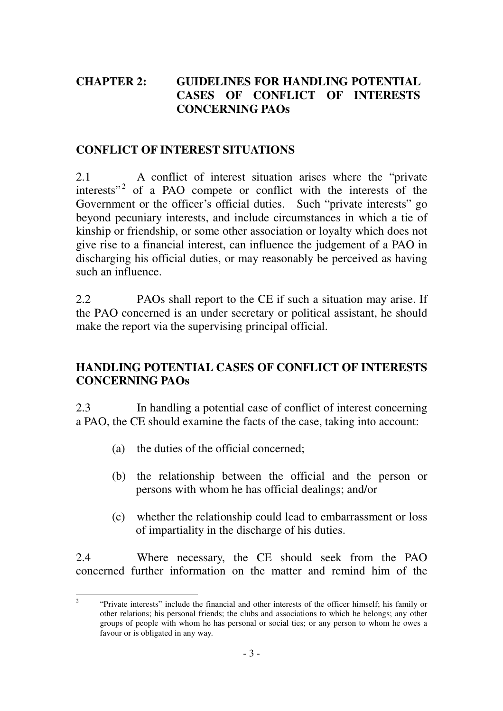# **CHAPTER 2: GUIDELINES FOR HANDLING POTENTIAL CASES OF CONFLICT OF INTERESTS CONCERNING PAOs**

## **CONFLICT OF INTEREST SITUATIONS**

2.1 A conflict of interest situation arises where the "private interests"<sup>2</sup> of a PAO compete or conflict with the interests of the Government or the officer's official duties. Such "private interests" go beyond pecuniary interests, and include circumstances in which a tie of kinship or friendship, or some other association or loyalty which does not give rise to a financial interest, can influence the judgement of a PAO in discharging his official duties, or may reasonably be perceived as having such an influence.

2.2 PAOs shall report to the CE if such a situation may arise. If the PAO concerned is an under secretary or political assistant, he should make the report via the supervising principal official.

# **HANDLING POTENTIAL CASES OF CONFLICT OF INTERESTS CONCERNING PAOs**

2.3 In handling a potential case of conflict of interest concerning a PAO, the CE should examine the facts of the case, taking into account:

- (a) the duties of the official concerned;
- (b) the relationship between the official and the person or persons with whom he has official dealings; and/or
- (c) whether the relationship could lead to embarrassment or loss of impartiality in the discharge of his duties.

2.4 Where necessary, the CE should seek from the PAO concerned further information on the matter and remind him of the

 $\frac{1}{2}$  "Private interests" include the financial and other interests of the officer himself; his family or other relations; his personal friends; the clubs and associations to which he belongs; any other groups of people with whom he has personal or social ties; or any person to whom he owes a favour or is obligated in any way.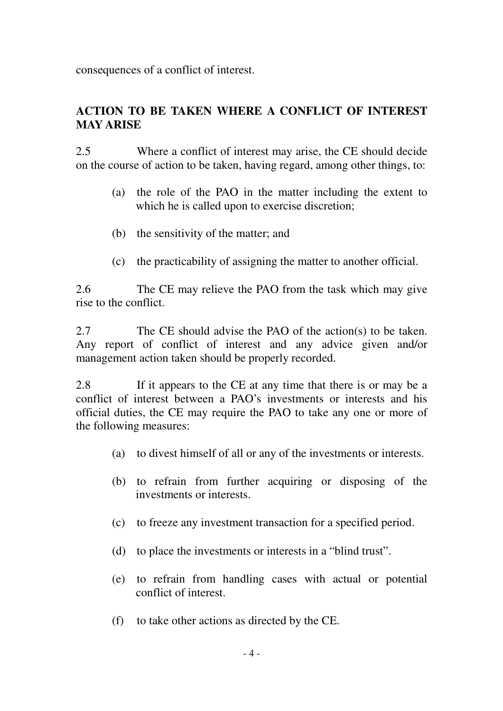consequences of a conflict of interest.

# **ACTION TO BE TAKEN WHERE A CONFLICT OF INTEREST MAY ARISE**

2.5 Where a conflict of interest may arise, the CE should decide on the course of action to be taken, having regard, among other things, to:

- (a) the role of the PAO in the matter including the extent to which he is called upon to exercise discretion;
- (b) the sensitivity of the matter; and
- (c) the practicability of assigning the matter to another official.

2.6 The CE may relieve the PAO from the task which may give rise to the conflict.

2.7 The CE should advise the PAO of the action(s) to be taken. Any report of conflict of interest and any advice given and/or management action taken should be properly recorded.

2.8 If it appears to the CE at any time that there is or may be a conflict of interest between a PAO's investments or interests and his official duties, the CE may require the PAO to take any one or more of the following measures:

- (a) to divest himself of all or any of the investments or interests.
- (b) to refrain from further acquiring or disposing of the investments or interests.
- (c) to freeze any investment transaction for a specified period.
- (d) to place the investments or interests in a "blind trust".
- (e) to refrain from handling cases with actual or potential conflict of interest.
- (f) to take other actions as directed by the CE.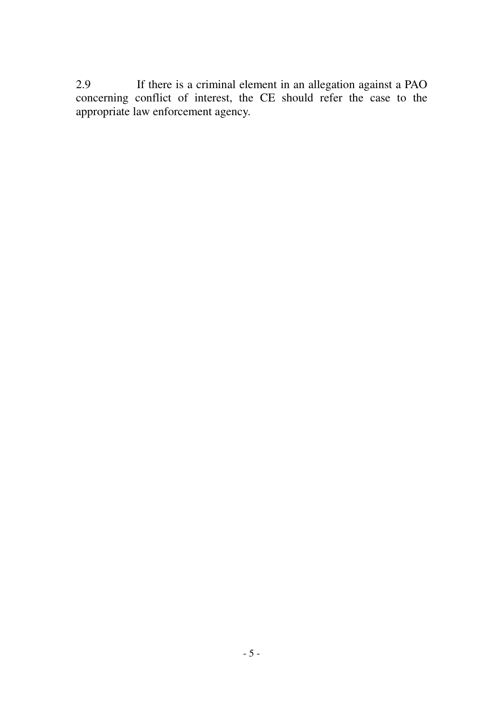2.9 If there is a criminal element in an allegation against a PAO concerning conflict of interest, the CE should refer the case to the appropriate law enforcement agency.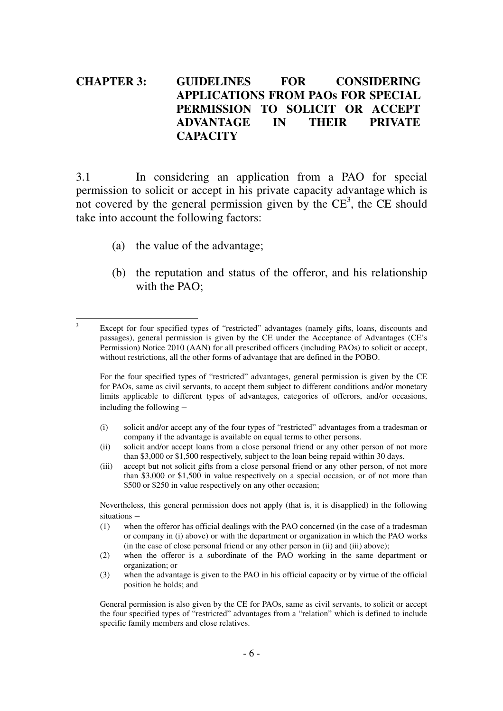## **CHAPTER 3: GUIDELINES FOR CONSIDERING APPLICATIONS FROM PAOs FOR SPECIAL PERMISSION TO SOLICIT OR ACCEPT ADVANTAGE IN THEIR PRIVATE CAPACITY**

3.1 In considering an application from a PAO for special permission to solicit or accept in his private capacity advantage which is not covered by the general permission given by the  $\overline{CE}^3$ , the  $\overline{CE}$  should take into account the following factors:

(a) the value of the advantage;

3

(b) the reputation and status of the offeror, and his relationship with the PAO:

- (i) solicit and/or accept any of the four types of "restricted" advantages from a tradesman or company if the advantage is available on equal terms to other persons.
- (ii) solicit and/or accept loans from a close personal friend or any other person of not more than \$3,000 or \$1,500 respectively, subject to the loan being repaid within 30 days.
- (iii) accept but not solicit gifts from a close personal friend or any other person, of not more than \$3,000 or \$1,500 in value respectively on a special occasion, or of not more than \$500 or \$250 in value respectively on any other occasion;

 Nevertheless, this general permission does not apply (that is, it is disapplied) in the following situations –

- (1) when the offeror has official dealings with the PAO concerned (in the case of a tradesman or company in (i) above) or with the department or organization in which the PAO works (in the case of close personal friend or any other person in (ii) and (iii) above);
- (2) when the offeror is a subordinate of the PAO working in the same department or organization; or
- (3) when the advantage is given to the PAO in his official capacity or by virtue of the official position he holds; and

 General permission is also given by the CE for PAOs, same as civil servants, to solicit or accept the four specified types of "restricted" advantages from a "relation" which is defined to include specific family members and close relatives.

Except for four specified types of "restricted" advantages (namely gifts, loans, discounts and passages), general permission is given by the CE under the Acceptance of Advantages (CE's Permission) Notice 2010 (AAN) for all prescribed officers (including PAOs) to solicit or accept, without restrictions, all the other forms of advantage that are defined in the POBO.

For the four specified types of "restricted" advantages, general permission is given by the CE for PAOs, same as civil servants, to accept them subject to different conditions and/or monetary limits applicable to different types of advantages, categories of offerors, and/or occasions, including the following –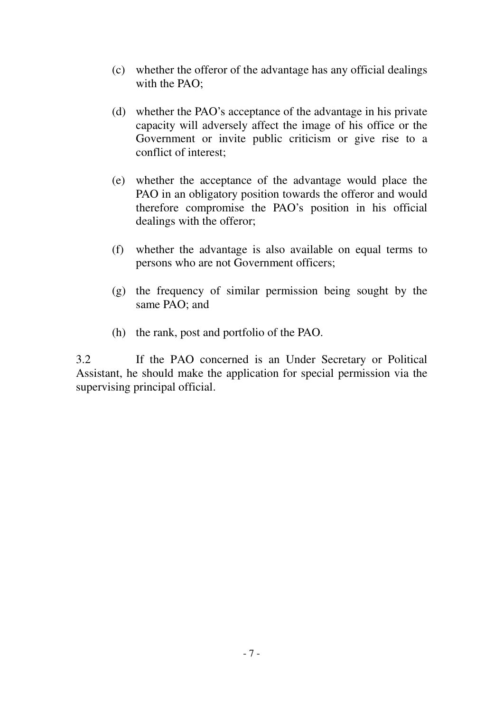- (c) whether the offeror of the advantage has any official dealings with the PAO;
- (d) whether the PAO's acceptance of the advantage in his private capacity will adversely affect the image of his office or the Government or invite public criticism or give rise to a conflict of interest;
- (e) whether the acceptance of the advantage would place the PAO in an obligatory position towards the offeror and would therefore compromise the PAO's position in his official dealings with the offeror;
- (f) whether the advantage is also available on equal terms to persons who are not Government officers;
- (g) the frequency of similar permission being sought by the same PAO; and
- (h) the rank, post and portfolio of the PAO.

3.2 If the PAO concerned is an Under Secretary or Political Assistant, he should make the application for special permission via the supervising principal official.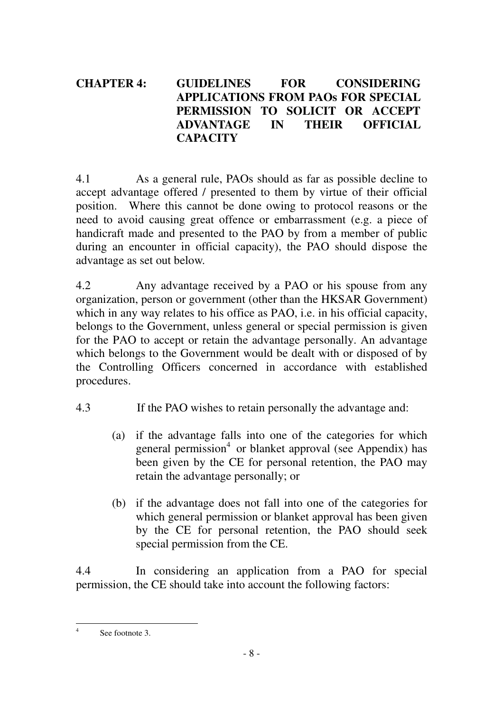# **CHAPTER 4: GUIDELINES FOR CONSIDERING APPLICATIONS FROM PAOs FOR SPECIAL PERMISSION TO SOLICIT OR ACCEPT ADVANTAGE IN THEIR OFFICIAL CAPACITY**

4.1 As a general rule, PAOs should as far as possible decline to accept advantage offered / presented to them by virtue of their official position. Where this cannot be done owing to protocol reasons or the need to avoid causing great offence or embarrassment (e.g. a piece of handicraft made and presented to the PAO by from a member of public during an encounter in official capacity), the PAO should dispose the advantage as set out below.

4.2 Any advantage received by a PAO or his spouse from any organization, person or government (other than the HKSAR Government) which in any way relates to his office as PAO, i.e. in his official capacity, belongs to the Government, unless general or special permission is given for the PAO to accept or retain the advantage personally. An advantage which belongs to the Government would be dealt with or disposed of by the Controlling Officers concerned in accordance with established procedures.

- 4.3 If the PAO wishes to retain personally the advantage and:
	- (a) if the advantage falls into one of the categories for which general permission<sup>4</sup> or blanket approval (see Appendix) has been given by the CE for personal retention, the PAO may retain the advantage personally; or
	- (b) if the advantage does not fall into one of the categories for which general permission or blanket approval has been given by the CE for personal retention, the PAO should seek special permission from the CE.

4.4 In considering an application from a PAO for special permission, the CE should take into account the following factors:

 $\frac{1}{4}$ See footnote 3.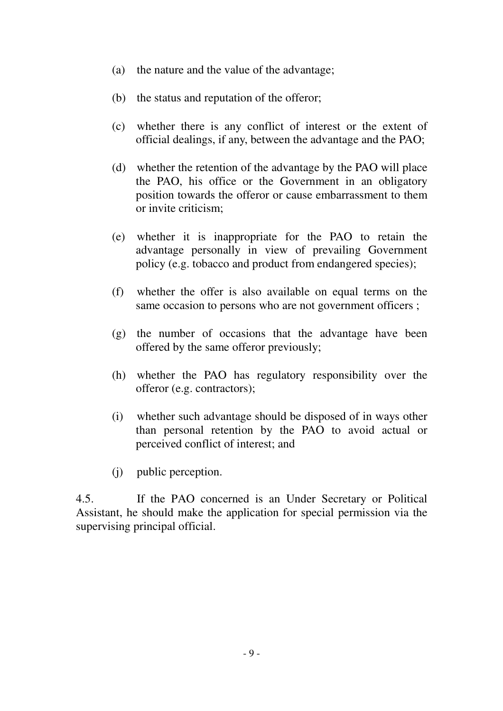- (a) the nature and the value of the advantage;
- (b) the status and reputation of the offeror;
- (c) whether there is any conflict of interest or the extent of official dealings, if any, between the advantage and the PAO;
- (d) whether the retention of the advantage by the PAO will place the PAO, his office or the Government in an obligatory position towards the offeror or cause embarrassment to them or invite criticism;
- (e) whether it is inappropriate for the PAO to retain the advantage personally in view of prevailing Government policy (e.g. tobacco and product from endangered species);
- (f) whether the offer is also available on equal terms on the same occasion to persons who are not government officers;
- (g) the number of occasions that the advantage have been offered by the same offeror previously;
- (h) whether the PAO has regulatory responsibility over the offeror (e.g. contractors);
- (i) whether such advantage should be disposed of in ways other than personal retention by the PAO to avoid actual or perceived conflict of interest; and
- (j) public perception.

4.5. If the PAO concerned is an Under Secretary or Political Assistant, he should make the application for special permission via the supervising principal official.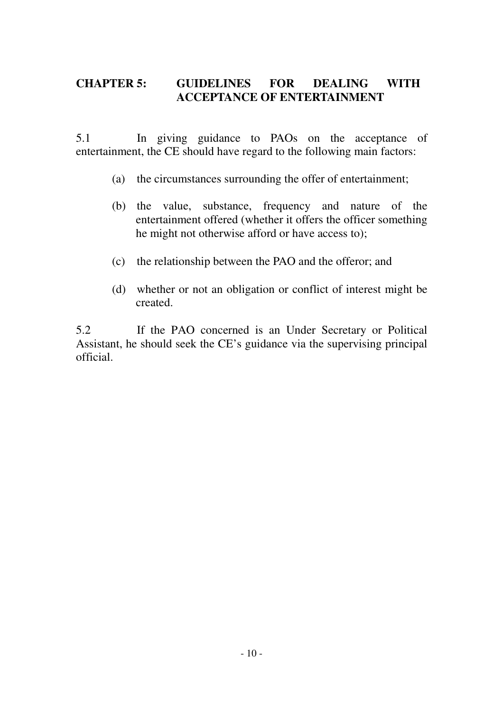# **CHAPTER 5: GUIDELINES FOR DEALING WITH ACCEPTANCE OF ENTERTAINMENT**

5.1 In giving guidance to PAOs on the acceptance of entertainment, the CE should have regard to the following main factors:

- (a) the circumstances surrounding the offer of entertainment;
- (b) the value, substance, frequency and nature of the entertainment offered (whether it offers the officer something he might not otherwise afford or have access to);
- (c) the relationship between the PAO and the offeror; and
- (d) whether or not an obligation or conflict of interest might be created.

5.2 If the PAO concerned is an Under Secretary or Political Assistant, he should seek the CE's guidance via the supervising principal official.